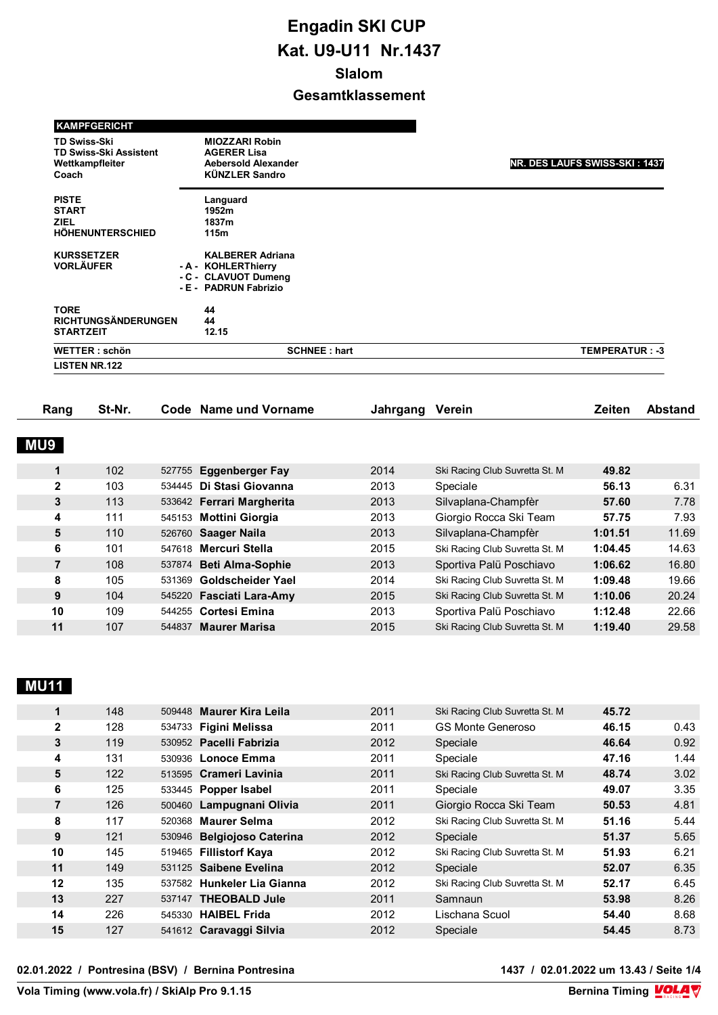| <b>KAMPFGERICHT</b>                                                              |                                                                                                    |                               |
|----------------------------------------------------------------------------------|----------------------------------------------------------------------------------------------------|-------------------------------|
| <b>TD Swiss-Ski</b><br><b>TD Swiss-Ski Assistent</b><br>Wettkampfleiter<br>Coach | <b>MIOZZARI Robin</b><br><b>AGERER Lisa</b><br><b>Aebersold Alexander</b><br><b>KÜNZLER Sandro</b> | NR. DES LAUFS SWISS-SKI: 1437 |
| <b>PISTE</b><br><b>START</b><br><b>ZIEL</b><br><b>HÖHENUNTERSCHIED</b>           | Languard<br>1952m<br>1837m<br>115m                                                                 |                               |
| <b>KURSSETZER</b><br><b>VORLÄUFER</b>                                            | <b>KALBERER Adriana</b><br>- A - KOHLERThierry<br>- C - CLAVUOT Dumeng<br>- E - PADRUN Fabrizio    |                               |
| <b>TORE</b><br><b>RICHTUNGSÄNDERUNGEN</b><br><b>STARTZEIT</b>                    | 44<br>44<br>12.15                                                                                  |                               |
| <b>WETTER: schön</b>                                                             | <b>SCHNEE: hart</b>                                                                                | <b>TEMPERATUR: -3</b>         |
| <b>LISTEN NR.122</b>                                                             |                                                                                                    |                               |

| Rang           | St-Nr. |        | Code Name und Vorname     | Jahrgang | Verein                         | <b>Zeiten</b> | <b>Abstand</b> |
|----------------|--------|--------|---------------------------|----------|--------------------------------|---------------|----------------|
| <b>MU9</b>     |        |        |                           |          |                                |               |                |
|                |        |        |                           |          |                                |               |                |
| 1              | 102    | 527755 | Eggenberger Fay           | 2014     | Ski Racing Club Suvretta St. M | 49.82         |                |
| $\mathbf{2}$   | 103    |        | 534445 Di Stasi Giovanna  | 2013     | Speciale                       | 56.13         | 6.31           |
| 3              | 113    |        | 533642 Ferrari Margherita | 2013     | Silvaplana-Champfèr            | 57.60         | 7.78           |
| 4              | 111    |        | 545153 Mottini Giorgia    | 2013     | Giorgio Rocca Ski Team         | 57.75         | 7.93           |
| 5              | 110    |        | 526760 Saager Naila       | 2013     | Silvaplana-Champfèr            | 1:01.51       | 11.69          |
| 6              | 101    |        | 547618 Mercuri Stella     | 2015     | Ski Racing Club Suvretta St. M | 1:04.45       | 14.63          |
| $\overline{7}$ | 108    |        | 537874 Beti Alma-Sophie   | 2013     | Sportiva Palü Poschiavo        | 1:06.62       | 16.80          |
| 8              | 105    | 531369 | Goldscheider Yael         | 2014     | Ski Racing Club Suvretta St. M | 1:09.48       | 19.66          |
| 9              | 104    |        | 545220 Fasciati Lara-Amy  | 2015     | Ski Racing Club Suvretta St. M | 1:10.06       | 20.24          |
| 10             | 109    |        | 544255 Cortesi Emina      | 2013     | Sportiva Palü Poschiavo        | 1:12.48       | 22.66          |
| 11             | 107    | 544837 | <b>Maurer Marisa</b>      | 2015     | Ski Racing Club Suvretta St. M | 1:19.40       | 29.58          |
|                |        |        |                           |          |                                |               |                |

# **MU11**

| $\mathbf 1$    | 148 | 509448 Maurer Kira Leila   | 2011 | Ski Racing Club Suvretta St. M | 45.72 |      |
|----------------|-----|----------------------------|------|--------------------------------|-------|------|
| $\mathbf{2}$   | 128 | 534733 Figini Melissa      | 2011 | <b>GS Monte Generoso</b>       | 46.15 | 0.43 |
| 3              | 119 | 530952 Pacelli Fabrizia    | 2012 | Speciale                       | 46.64 | 0.92 |
| 4              | 131 | 530936 Lonoce Emma         | 2011 | Speciale                       | 47.16 | 1.44 |
| 5              | 122 | 513595 Crameri Lavinia     | 2011 | Ski Racing Club Suvretta St. M | 48.74 | 3.02 |
| 6              | 125 | 533445 Popper Isabel       | 2011 | Speciale                       | 49.07 | 3.35 |
| $\overline{7}$ | 126 | 500460 Lampugnani Olivia   | 2011 | Giorgio Rocca Ski Team         | 50.53 | 4.81 |
| 8              | 117 | 520368 Maurer Selma        | 2012 | Ski Racing Club Suvretta St. M | 51.16 | 5.44 |
| 9              | 121 | 530946 Belgiojoso Caterina | 2012 | Speciale                       | 51.37 | 5.65 |
| 10             | 145 | 519465 Fillistorf Kaya     | 2012 | Ski Racing Club Suvretta St. M | 51.93 | 6.21 |
| 11             | 149 | 531125 Saibene Evelina     | 2012 | Speciale                       | 52.07 | 6.35 |
| 12             | 135 | 537582 Hunkeler Lia Gianna | 2012 | Ski Racing Club Suvretta St. M | 52.17 | 6.45 |
| 13             | 227 | 537147 THEOBALD Jule       | 2011 | Samnaun                        | 53.98 | 8.26 |
| 14             | 226 | 545330 HAIBEL Frida        | 2012 | Lischana Scuol                 | 54.40 | 8.68 |
| 15             | 127 | 541612 Caravaggi Silvia    | 2012 | Speciale                       | 54.45 | 8.73 |

**02.01.2022 / Pontresina (BSV) / Bernina Pontresina 1437 / 02.01.2022 um 13.43 / Seite 1/4**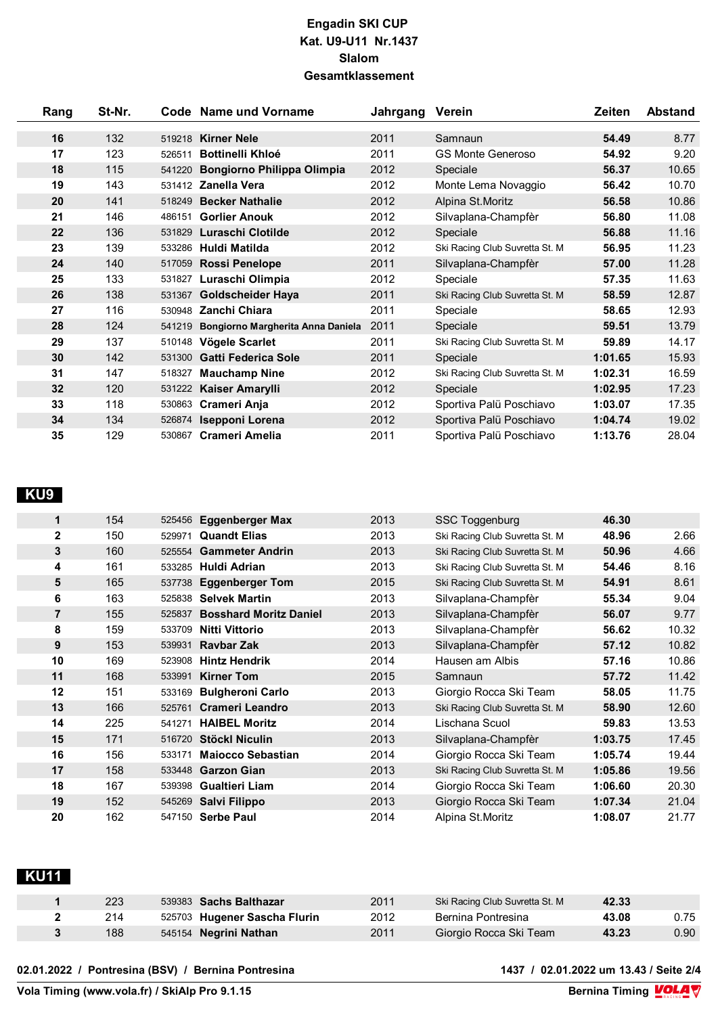| Rang | St-Nr. |        | Code Name und Vorname             | Jahrgang | Verein                         | Zeiten  | <b>Abstand</b> |
|------|--------|--------|-----------------------------------|----------|--------------------------------|---------|----------------|
| 16   | 132    | 519218 | <b>Kirner Nele</b>                | 2011     | Samnaun                        | 54.49   | 8.77           |
| 17   | 123    | 526511 | <b>Bottinelli Khloé</b>           | 2011     | <b>GS Monte Generoso</b>       | 54.92   | 9.20           |
| 18   | 115    | 541220 | Bongiorno Philippa Olimpia        | 2012     | Speciale                       | 56.37   | 10.65          |
| 19   | 143    | 531412 | Zanella Vera                      | 2012     | Monte Lema Novaggio            | 56.42   | 10.70          |
| 20   | 141    | 518249 | <b>Becker Nathalie</b>            | 2012     | Alpina St.Moritz               | 56.58   | 10.86          |
| 21   | 146    | 486151 | <b>Gorlier Anouk</b>              | 2012     | Silvaplana-Champfèr            | 56.80   | 11.08          |
| 22   | 136    | 531829 | Luraschi Clotilde                 | 2012     | Speciale                       | 56.88   | 11.16          |
| 23   | 139    | 533286 | Huldi Matilda                     | 2012     | Ski Racing Club Suvretta St. M | 56.95   | 11.23          |
| 24   | 140    | 517059 | <b>Rossi Penelope</b>             | 2011     | Silvaplana-Champfèr            | 57.00   | 11.28          |
| 25   | 133    | 531827 | Luraschi Olimpia                  | 2012     | Speciale                       | 57.35   | 11.63          |
| 26   | 138    | 531367 | <b>Goldscheider Haya</b>          | 2011     | Ski Racing Club Suvretta St. M | 58.59   | 12.87          |
| 27   | 116    | 530948 | Zanchi Chiara                     | 2011     | Speciale                       | 58.65   | 12.93          |
| 28   | 124    | 541219 | Bongiorno Margherita Anna Daniela | 2011     | Speciale                       | 59.51   | 13.79          |
| 29   | 137    | 510148 | Vögele Scarlet                    | 2011     | Ski Racing Club Suvretta St. M | 59.89   | 14.17          |
| 30   | 142    | 531300 | Gatti Federica Sole               | 2011     | Speciale                       | 1:01.65 | 15.93          |
| 31   | 147    | 518327 | <b>Mauchamp Nine</b>              | 2012     | Ski Racing Club Suvretta St. M | 1:02.31 | 16.59          |
| 32   | 120    | 531222 | Kaiser Amarylli                   | 2012     | Speciale                       | 1:02.95 | 17.23          |
| 33   | 118    | 530863 | Crameri Anja                      | 2012     | Sportiva Palü Poschiavo        | 1:03.07 | 17.35          |
| 34   | 134    | 526874 | Isepponi Lorena                   | 2012     | Sportiva Palü Poschiavo        | 1:04.74 | 19.02          |
| 35   | 129    |        | 530867 Crameri Amelia             | 2011     | Sportiva Palü Poschiavo        | 1:13.76 | 28.04          |

#### **KU9**

| 1            | 154 | 525456 | <b>Eggenberger Max</b>        | 2013 | <b>SSC Toggenburg</b>          | 46.30   |       |
|--------------|-----|--------|-------------------------------|------|--------------------------------|---------|-------|
| $\mathbf{2}$ | 150 | 529971 | <b>Quandt Elias</b>           | 2013 | Ski Racing Club Suvretta St. M | 48.96   | 2.66  |
| 3            | 160 |        | 525554 Gammeter Andrin        | 2013 | Ski Racing Club Suvretta St. M | 50.96   | 4.66  |
| 4            | 161 | 533285 | Huldi Adrian                  | 2013 | Ski Racing Club Suvretta St. M | 54.46   | 8.16  |
| 5            | 165 | 537738 | <b>Eggenberger Tom</b>        | 2015 | Ski Racing Club Suvretta St. M | 54.91   | 8.61  |
| 6            | 163 | 525838 | <b>Selvek Martin</b>          | 2013 | Silvaplana-Champfèr            | 55.34   | 9.04  |
| 7            | 155 | 525837 | <b>Bosshard Moritz Daniel</b> | 2013 | Silvaplana-Champfèr            | 56.07   | 9.77  |
| 8            | 159 | 533709 | Nitti Vittorio                | 2013 | Silvaplana-Champfèr            | 56.62   | 10.32 |
| 9            | 153 | 539931 | <b>Raybar Zak</b>             | 2013 | Silvaplana-Champfèr            | 57.12   | 10.82 |
| 10           | 169 | 523908 | <b>Hintz Hendrik</b>          | 2014 | Hausen am Albis                | 57.16   | 10.86 |
| 11           | 168 | 533991 | <b>Kirner Tom</b>             | 2015 | Samnaun                        | 57.72   | 11.42 |
| 12           | 151 | 533169 | <b>Bulgheroni Carlo</b>       | 2013 | Giorgio Rocca Ski Team         | 58.05   | 11.75 |
| 13           | 166 | 525761 | <b>Crameri Leandro</b>        | 2013 | Ski Racing Club Suvretta St. M | 58.90   | 12.60 |
| 14           | 225 | 541271 | <b>HAIBEL Moritz</b>          | 2014 | Lischana Scuol                 | 59.83   | 13.53 |
| 15           | 171 | 516720 | <b>Stöckl Niculin</b>         | 2013 | Silvaplana-Champfèr            | 1:03.75 | 17.45 |
| 16           | 156 | 533171 | <b>Majocco Sebastian</b>      | 2014 | Giorgio Rocca Ski Team         | 1:05.74 | 19.44 |
| 17           | 158 | 533448 | <b>Garzon Gian</b>            | 2013 | Ski Racing Club Suvretta St. M | 1:05.86 | 19.56 |
| 18           | 167 | 539398 | <b>Gualtieri Liam</b>         | 2014 | Giorgio Rocca Ski Team         | 1:06.60 | 20.30 |
| 19           | 152 |        | 545269 Salvi Filippo          | 2013 | Giorgio Rocca Ski Team         | 1:07.34 | 21.04 |
| 20           | 162 |        | 547150 Serbe Paul             | 2014 | Alpina St.Moritz               | 1:08.07 | 21.77 |

# **KU11**

| 223 | 539383 Sachs Balthazar       | 2011 | Ski Racing Club Suvretta St. M | 42.33 |      |
|-----|------------------------------|------|--------------------------------|-------|------|
| 214 | 525703 Hugener Sascha Flurin | 2012 | Bernina Pontresina             | 43.08 | 0.75 |
| 188 | 545154 Negrini Nathan        | 2011 | Giorgio Rocca Ski Team         | 43.23 | 0.90 |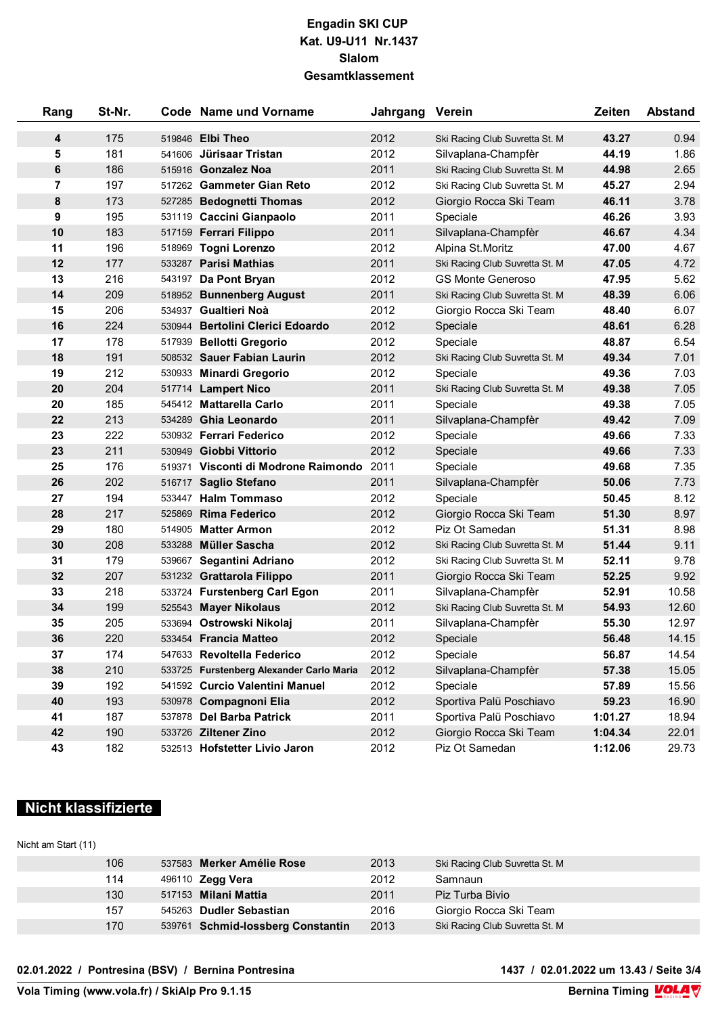| Rang | St-Nr. |        | Code Name und Vorname                    | Jahrgang Verein |                                | Zeiten  | <b>Abstand</b> |
|------|--------|--------|------------------------------------------|-----------------|--------------------------------|---------|----------------|
| 4    | 175    |        | 519846 Elbi Theo                         | 2012            | Ski Racing Club Suvretta St. M | 43.27   | 0.94           |
| 5    | 181    | 541606 | Jürisaar Tristan                         | 2012            | Silvaplana-Champfèr            | 44.19   | 1.86           |
| 6    | 186    | 515916 | <b>Gonzalez Noa</b>                      | 2011            | Ski Racing Club Suvretta St. M | 44.98   | 2.65           |
| 7    | 197    |        | 517262 Gammeter Gian Reto                | 2012            | Ski Racing Club Suvretta St. M | 45.27   | 2.94           |
| 8    | 173    |        | 527285 Bedognetti Thomas                 | 2012            | Giorgio Rocca Ski Team         | 46.11   | 3.78           |
| 9    | 195    |        | 531119 Caccini Gianpaolo                 | 2011            | Speciale                       | 46.26   | 3.93           |
| 10   | 183    |        | 517159 Ferrari Filippo                   | 2011            | Silvaplana-Champfèr            | 46.67   | 4.34           |
| 11   | 196    |        | 518969 Togni Lorenzo                     | 2012            | Alpina St.Moritz               | 47.00   | 4.67           |
| 12   | 177    |        | 533287 Parisi Mathias                    | 2011            | Ski Racing Club Suvretta St. M | 47.05   | 4.72           |
| 13   | 216    |        | 543197 Da Pont Bryan                     | 2012            | <b>GS Monte Generoso</b>       | 47.95   | 5.62           |
| 14   | 209    |        | 518952 Bunnenberg August                 | 2011            | Ski Racing Club Suvretta St. M | 48.39   | 6.06           |
| 15   | 206    |        | 534937 Gualtieri Noà                     | 2012            | Giorgio Rocca Ski Team         | 48.40   | 6.07           |
| 16   | 224    |        | 530944 Bertolini Clerici Edoardo         | 2012            | Speciale                       | 48.61   | 6.28           |
| 17   | 178    |        | 517939 Bellotti Gregorio                 | 2012            | Speciale                       | 48.87   | 6.54           |
| 18   | 191    |        | 508532 Sauer Fabian Laurin               | 2012            | Ski Racing Club Suvretta St. M | 49.34   | 7.01           |
| 19   | 212    |        | 530933 Minardi Gregorio                  | 2012            | Speciale                       | 49.36   | 7.03           |
| 20   | 204    |        | 517714 Lampert Nico                      | 2011            | Ski Racing Club Suvretta St. M | 49.38   | 7.05           |
| 20   | 185    |        | 545412 Mattarella Carlo                  | 2011            | Speciale                       | 49.38   | 7.05           |
| 22   | 213    |        | 534289 Ghia Leonardo                     | 2011            | Silvaplana-Champfèr            | 49.42   | 7.09           |
| 23   | 222    |        | 530932 Ferrari Federico                  | 2012            | Speciale                       | 49.66   | 7.33           |
| 23   | 211    |        | 530949 Giobbi Vittorio                   | 2012            | Speciale                       | 49.66   | 7.33           |
| 25   | 176    |        | 519371 Visconti di Modrone Raimondo      | 2011            | Speciale                       | 49.68   | 7.35           |
| 26   | 202    |        | 516717 Saglio Stefano                    | 2011            | Silvaplana-Champfèr            | 50.06   | 7.73           |
| 27   | 194    |        | 533447 Halm Tommaso                      | 2012            | Speciale                       | 50.45   | 8.12           |
| 28   | 217    |        | 525869 Rima Federico                     | 2012            | Giorgio Rocca Ski Team         | 51.30   | 8.97           |
| 29   | 180    | 514905 | <b>Matter Armon</b>                      | 2012            | Piz Ot Samedan                 | 51.31   | 8.98           |
| 30   | 208    | 533288 | <b>Müller Sascha</b>                     | 2012            | Ski Racing Club Suvretta St. M | 51.44   | 9.11           |
| 31   | 179    |        | 539667 Segantini Adriano                 | 2012            | Ski Racing Club Suvretta St. M | 52.11   | 9.78           |
| 32   | 207    |        | 531232 Grattarola Filippo                | 2011            | Giorgio Rocca Ski Team         | 52.25   | 9.92           |
| 33   | 218    |        | 533724 Furstenberg Carl Egon             | 2011            | Silvaplana-Champfèr            | 52.91   | 10.58          |
| 34   | 199    |        | 525543 Mayer Nikolaus                    | 2012            | Ski Racing Club Suvretta St. M | 54.93   | 12.60          |
| 35   | 205    |        | 533694 Ostrowski Nikolaj                 | 2011            | Silvaplana-Champfèr            | 55.30   | 12.97          |
| 36   | 220    |        | 533454 Francia Matteo                    | 2012            | Speciale                       | 56.48   | 14.15          |
| 37   | 174    |        | 547633 Revoltella Federico               | 2012            | Speciale                       | 56.87   | 14.54          |
| 38   | 210    |        | 533725 Furstenberg Alexander Carlo Maria | 2012            | Silvaplana-Champfèr            | 57.38   | 15.05          |
| 39   | 192    |        | 541592 Curcio Valentini Manuel           | 2012            | Speciale                       | 57.89   | 15.56          |
| 40   | 193    |        | 530978 Compagnoni Elia                   | 2012            | Sportiva Palü Poschiavo        | 59.23   | 16.90          |
| 41   | 187    |        | 537878 Del Barba Patrick                 | 2011            | Sportiva Palü Poschiavo        | 1:01.27 | 18.94          |
| 42   | 190    |        | 533726 Ziltener Zino                     | 2012            | Giorgio Rocca Ski Team         | 1:04.34 | 22.01          |
| 43   | 182    |        | 532513 Hofstetter Livio Jaron            | 2012            | Piz Ot Samedan                 | 1:12.06 | 29.73          |

# **Nicht klassifizierte**

#### Nicht am Start (11)

| 106 | 537583 Merker Amélie Rose         | 2013 | Ski Racing Club Suvretta St. M |
|-----|-----------------------------------|------|--------------------------------|
| 114 | 496110 Zegg Vera                  | 2012 | Samnaun                        |
| 130 | 517153 Milani Mattia              | 2011 | Piz Turba Bivio                |
| 157 | 545263 Dudler Sebastian           | 2016 | Giorgio Rocca Ski Team         |
| 170 | 539761 Schmid-lossberg Constantin | 2013 | Ski Racing Club Suvretta St. M |

**02.01.2022 / Pontresina (BSV) / Bernina Pontresina 1437 / 02.01.2022 um 13.43 / Seite 3/4**